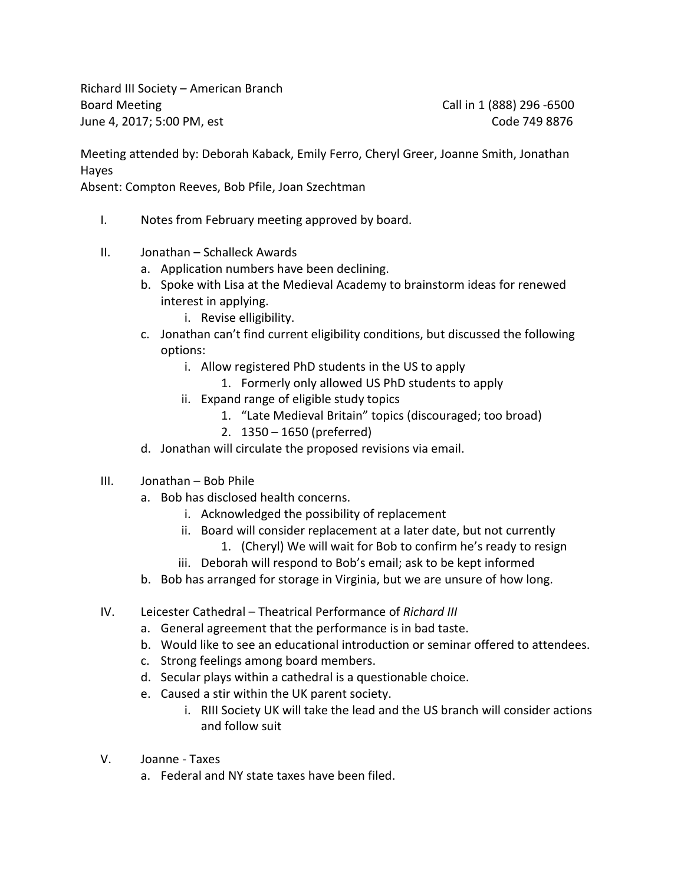Richard III Society – American Branch Board Meeting Call in 1 (888) 296 -6500 June 4, 2017; 5:00 PM, est Code 749 8876

Meeting attended by: Deborah Kaback, Emily Ferro, Cheryl Greer, Joanne Smith, Jonathan Hayes

Absent: Compton Reeves, Bob Pfile, Joan Szechtman

- I. Notes from February meeting approved by board.
- II. Jonathan Schalleck Awards
	- a. Application numbers have been declining.
	- b. Spoke with Lisa at the Medieval Academy to brainstorm ideas for renewed interest in applying.
		- i. Revise elligibility.
	- c. Jonathan can't find current eligibility conditions, but discussed the following options:
		- i. Allow registered PhD students in the US to apply
			- 1. Formerly only allowed US PhD students to apply
		- ii. Expand range of eligible study topics
			- 1. "Late Medieval Britain" topics (discouraged; too broad)
			- 2. 1350 1650 (preferred)
	- d. Jonathan will circulate the proposed revisions via email.
- III. Jonathan Bob Phile
	- a. Bob has disclosed health concerns.
		- i. Acknowledged the possibility of replacement
		- ii. Board will consider replacement at a later date, but not currently 1. (Cheryl) We will wait for Bob to confirm he's ready to resign
		- iii. Deborah will respond to Bob's email; ask to be kept informed
	- b. Bob has arranged for storage in Virginia, but we are unsure of how long.
- IV. Leicester Cathedral Theatrical Performance of *Richard III*
	- a. General agreement that the performance is in bad taste.
	- b. Would like to see an educational introduction or seminar offered to attendees.
	- c. Strong feelings among board members.
	- d. Secular plays within a cathedral is a questionable choice.
	- e. Caused a stir within the UK parent society.
		- i. RIII Society UK will take the lead and the US branch will consider actions and follow suit
- V. Joanne Taxes
	- a. Federal and NY state taxes have been filed.